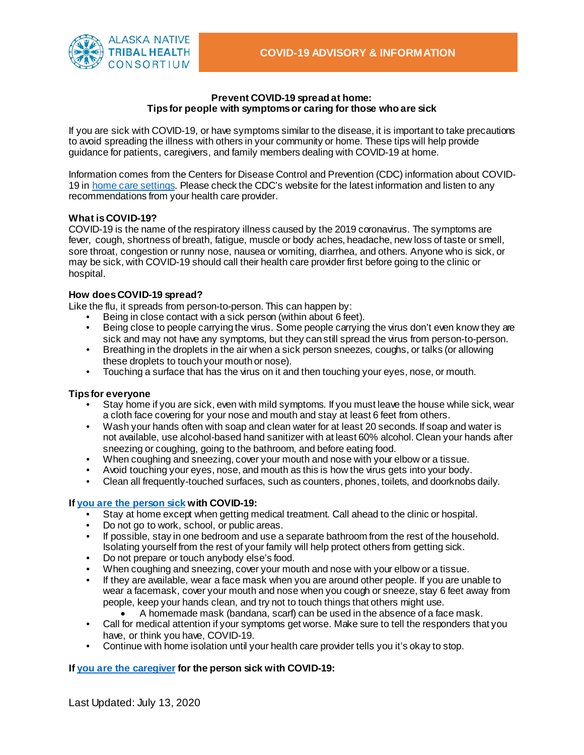

### **Prevent COVID-19 spread at home: Tips for people with symptoms or caring for those who are sick**

If you are sick with COVID-19, or have symptoms similar to the disease, it is important to take precautions to avoid spreading the illness with others in your community or home. These tips will help provide guidance for patients, caregivers, and family members dealing with COVID-19 at home.

Information comes from the Centers for Disease Control and Prevention (CDC) information about COVID-19 in [home care settings](https://www.cdc.gov/coronavirus/2019-ncov/if-you-are-sick/index.html?CDC_AA_refVal=https%3A%2F%2Fwww.cdc.gov%2Fcoronavirus%2F2019-ncov%2Fhcp%2Fguidance-prevent-spread.html). Please check the CDC's website for the latest information and listen to any recommendations from your health care provider.

## **What is COVID-19?**

COVID-19 is the name of the respiratory illness caused by the 2019 coronavirus. The symptoms are fever, cough, shortness of breath, fatigue, muscle or body aches, headache, new loss of taste or smell, sore throat, congestion or runny nose, nausea or vomiting, diarrhea, and others. Anyone who is sick, or may be sick, with COVID-19 should call their health care provider first before going to the clinic or hospital.

## **How does COVID-19 spread?**

Like the flu, it spreads from person-to-person. This can happen by:

- Being in close contact with a sick person (within about 6 feet).
- Being close to people carrying the virus. Some people carrying the virus don't even know they are sick and may not have any symptoms, but they can still spread the virus from person-to-person.
- Breathing in the droplets in the air when a sick person sneezes, coughs, or talks (or allowing these droplets to touch your mouth or nose).
- Touching a surface that has the virus on it and then touching your eyes, nose, or mouth.

### **Tips for everyone**

- Stay home if you are sick, even with mild symptoms. If you must leave the house while sick, wear a cloth face covering for your nose and mouth and stay at least 6 feet from others.
- Wash your hands often with soap and clean water for at least 20 seconds. If soap and water is not available, use alcohol-based hand sanitizer with at least 60% alcohol. Clean your hands after sneezing or coughing, going to the bathroom, and before eating food.
- When coughing and sneezing, cover your mouth and nose with your elbow or a tissue.
- Avoid touching your eyes, nose, and mouth as this is how the virus gets into your body.
- Clean all frequently-touched surfaces, such as counters, phones, toilets, and doorknobs daily.

# **If [you are the person sick](https://www.cdc.gov/coronavirus/2019-ncov/if-you-are-sick/steps-when-sick.html) with COVID-19:**

- Stay at home except when getting medical treatment. Call ahead to the clinic or hospital.
- Do not go to work, school, or public areas.
- If possible, stay in one bedroom and use a separate bathroom from the rest of the household. Isolating yourself from the rest of your family will help protect others from getting sick.
- Do not prepare or touch anybody else's food.
- When coughing and sneezing, cover your mouth and nose with your elbow or a tissue.
- If they are available, wear a face mask when you are around other people. If you are unable to wear a facemask, cover your mouth and nose when you cough or sneeze, stay 6 feet away from people, keep your hands clean, and try not to touch things that others might use.
	- A homemade mask (bandana, scarf) can be used in the absence of a face mask.
- Call for medical attention if your symptoms get worse. Make sure to tell the responders that you have, or think you have, COVID-19.
- Continue with home isolation until your health care provider tells you it's okay to stop.

# **If [you are the caregiver](https://www.cdc.gov/coronavirus/2019-ncov/if-you-are-sick/care-for-someone.html) for the person sick with COVID-19:**

Last Updated: July 13, 2020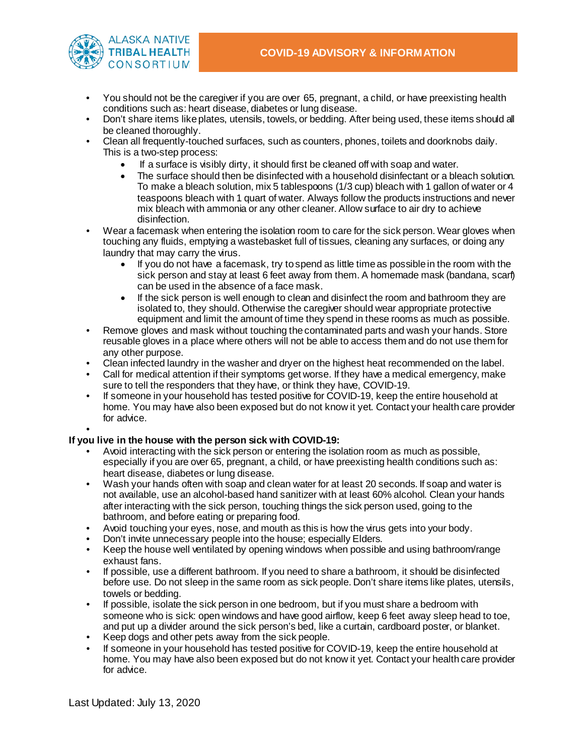

- You should not be the caregiver if you are over 65, pregnant, a child, or have preexisting health conditions such as: heart disease, diabetes or lung disease.
- Don't share items like plates, utensils, towels, or bedding. After being used, these items should all be cleaned thoroughly.
- Clean all frequently-touched surfaces, such as counters, phones, toilets and doorknobs daily. This is a two-step process:
	- If a surface is visibly dirty, it should first be cleaned off with soap and water.
	- The surface should then be disinfected with a household disinfectant or a bleach solution. To make a bleach solution, mix 5 tablespoons (1/3 cup) bleach with 1 gallon of water or 4 teaspoons bleach with 1 quart of water. Always follow the products instructions and never mix bleach with ammonia or any other cleaner. Allow surface to air dry to achieve disinfection.
- Wear a facemask when entering the isolation room to care for the sick person. Wear gloves when touching any fluids, emptying a wastebasket full of tissues, cleaning any surfaces, or doing any laundry that may carry the virus.
	- If you do not have a facemask, try to spend as little time as possible in the room with the sick person and stay at least 6 feet away from them. A homemade mask (bandana, scarf) can be used in the absence of a face mask.
	- If the sick person is well enough to clean and disinfect the room and bathroom they are isolated to, they should. Otherwise the caregiver should wear appropriate protective equipment and limit the amount of time they spend in these rooms as much as possible.
- Remove gloves and mask without touching the contaminated parts and wash your hands. Store reusable gloves in a place where others will not be able to access them and do not use them for any other purpose.
- Clean infected laundry in the washer and dryer on the highest heat recommended on the label.
- Call for medical attention if their symptoms get worse. If they have a medical emergency, make sure to tell the responders that they have, or think they have, COVID-19.
- If someone in your household has tested positive for COVID-19, keep the entire household at home. You may have also been exposed but do not know it yet. Contact your health care provider for advice.

#### • **If you live in the house with the person sick with COVID-19:**

- Avoid interacting with the sick person or entering the isolation room as much as possible, especially if you are over 65, pregnant, a child, or have preexisting health conditions such as: heart disease, diabetes or lung disease.
- Wash your hands often with soap and clean water for at least 20 seconds. If soap and water is not available, use an alcohol-based hand sanitizer with at least 60% alcohol. Clean your hands after interacting with the sick person, touching things the sick person used, going to the bathroom, and before eating or preparing food.
- Avoid touching your eyes, nose, and mouth as this is how the virus gets into your body.
- Don't invite unnecessary people into the house; especially Elders.
- Keep the house well ventilated by opening windows when possible and using bathroom/range exhaust fans.
- If possible, use a different bathroom. If you need to share a bathroom, it should be disinfected before use. Do not sleep in the same room as sick people. Don't share items like plates, utensils, towels or bedding.
- If possible, isolate the sick person in one bedroom, but if you must share a bedroom with someone who is sick: open windows and have good airflow, keep 6 feet away sleep head to toe, and put up a divider around the sick person's bed, like a curtain, cardboard poster, or blanket.
- Keep dogs and other pets away from the sick people.
- If someone in your household has tested positive for COVID-19, keep the entire household at home. You may have also been exposed but do not know it yet. Contact your health care provider for advice.